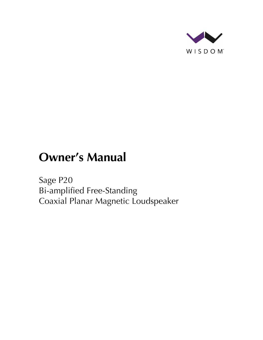

# **Owner's Manual**

Sage P20 Bi-amplified Free-Standing Coaxial Planar Magnetic Loudspeaker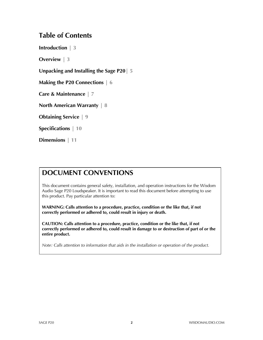### **Table of Contents**

**Introduction | 3**

**Overview | 3**

**Unpacking and Installing the Sage P20| 5**

**Making the P20 Connections | 6**

**Care & Maintenance | 7**

**North American Warranty | 8**

**Obtaining Service | 9**

**Specifications | 10**

**Dimensions | 11**

### **DOCUMENT CONVENTIONS**

This document contains general safety, installation, and operation instructions for the Wisdom Audio Sage P20 Loudspeaker. It is important to read this document before attempting to use this product. Pay particular attention to:

**WARNING: Calls attention to a procedure, practice, condition or the like that, if not correctly performed or adhered to, could result in injury or death.** 

**CAUTION: Calls attention to a procedure, practice, condition or the like that, if not correctly performed or adhered to, could result in damage to or destruction of part of or the entire product.** 

*Note: Calls attention to information that aids in the installation or operation of the product.*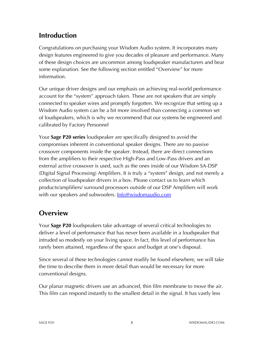# **Introduction**

Congratulations on purchasing your Wisdom Audio system. It incorporates many design features engineered to give you decades of pleasure and performance. Many of these design choices are uncommon among loudspeaker manufacturers and bear some explanation. See the following section entitled "Overview" for more information.

Our unique driver designs and our emphasis on achieving real-world performance account for the "system" approach taken. These are not speakers that are simply connected to speaker wires and promptly forgotten. We recognize that setting up a Wisdom Audio system can be a bit more involved than connecting a common set of loudspeakers, which is why we recommend that our systems be engineered and calibrated by Factory Personnel

Your **Sage P20 series** loudspeaker are specifically designed to avoid the compromises inherent in conventional speaker designs. There are no passive crossover components inside the speaker. Instead, there are direct connections from the amplifiers to their respective High-Pass and Low-Pass drivers and an external active crossover is used, such as the ones inside of our Wisdom SA-DSP (Digital Signal Processing) Amplifiers. It is truly a "system" design, and not merely a collection of loudspeaker drivers in a box. Please contact us to learn which products/amplifiers/ surround processors outside of our DSP Amplifiers will work with our speakers and subwoofers. **Info@wisdomaudio.com** 

# **Overview**

Your **Sage P20** loudspeakers take advantage of several critical technologies to deliver a level of performance that has never been available in a loudspeaker that intruded so modestly on your living space. In fact, this level of performance has rarely been attained, regardless of the space and budget at one's disposal.

Since several of these technologies cannot readily be found elsewhere, we will take the time to describe them in more detail than would be necessary for more conventional designs.

Our planar magnetic drivers use an advanced, thin film membrane to move the air. This film can respond instantly to the smallest detail in the signal. It has vastly less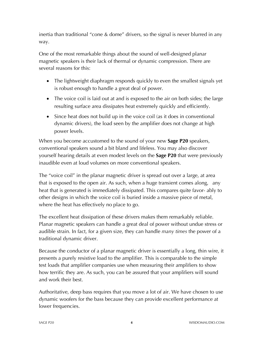inertia than traditional "cone & dome" drivers, so the signal is never blurred in any way.

One of the most remarkable things about the sound of well-designed planar magnetic speakers is their lack of thermal or dynamic compression. There are several reasons for this:

- The lightweight diaphragm responds quickly to even the smallest signals yet is robust enough to handle a great deal of power.
- The voice coil is laid out at and is exposed to the air on both sides; the large resulting surface area dissipates heat extremely quickly and efficiently.
- Since heat does not build up in the voice coil (as it does in conventional dynamic drivers), the load seen by the amplifier does not change at high power levels.

When you become accustomed to the sound of your new **Sage P20** speakers, conventional speakers sound a bit bland and lifeless. You may also discover yourself hearing details at even modest levels on the **Sage P20** that were previously inaudible even at loud volumes on more conventional speakers.

The "voice coil" in the planar magnetic driver is spread out over a large, at area that is exposed to the open air. As such, when a huge transient comes along, any heat that is generated is immediately dissipated. This compares quite favor- ably to other designs in which the voice coil is buried inside a massive piece of metal, where the heat has effectively no place to go.

The excellent heat dissipation of these drivers makes them remarkably reliable. Planar magnetic speakers can handle a great deal of power without undue stress or audible strain. In fact, for a given size, they can handle *many times* the power of a traditional dynamic driver.

Because the conductor of a planar magnetic driver is essentially a long, thin wire, it presents a purely resistive load to the amplifier. This is comparable to the simple test loads that amplifier companies use when measuring their amplifiers to show how terrific they are. As such, you can be assured that your amplifiers will sound and work their best.

Authoritative, deep bass requires that you move a lot of air. We have chosen to use dynamic woofers for the bass because they can provide excellent performance at lower frequencies.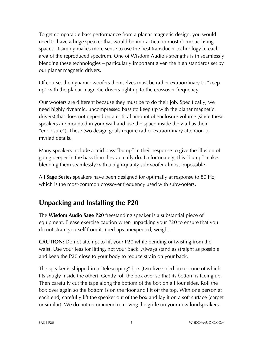To get comparable bass performance from a planar magnetic design, you would need to have a huge speaker that would be impractical in most domestic living spaces. It simply makes more sense to use the best transducer technology in each area of the reproduced spectrum. One of Wisdom Audio's strengths is in seamlessly blending these technologies – particularly important given the high standards set by our planar magnetic drivers.

Of course, the dynamic woofers themselves must be rather extraordinary to "keep up" with the planar magnetic drivers right up to the crossover frequency.

Our woofers are different because they must be to do their job. Specifically, we need highly dynamic, uncompressed bass (to keep up with the planar magnetic drivers) that does not depend on a critical amount of enclosure volume (since these speakers are mounted in your wall and use the space inside the wall as their "enclosure"). These two design goals require rather extraordinary attention to myriad details.

Many speakers include a mid-bass "bump" in their response to give the illusion of going deeper in the bass than they actually do. Unfortunately, this "bump" makes blending them seamlessly with a high-quality subwoofer almost impossible.

All **Sage Series** speakers have been designed for optimally at response to 80 Hz, which is the most-common crossover frequency used with subwoofers.

# **Unpacking and Installing the P20**

The **Wisdom Audio Sage P20** freestanding speaker is a substantial piece of equipment. Please exercise caution when unpacking your P20 to ensure that you do not strain yourself from its (perhaps unexpected) weight.

**CAUTION:** Do not attempt to lift your P20 while bending or twisting from the waist. Use your legs for lifting, not your back. Always stand as straight as possible and keep the P20 close to your body to reduce strain on your back.

The speaker is shipped in a "telescoping" box (two five-sided boxes, one of which fits snugly inside the other). Gently roll the box over so that its bottom is facing up. Then carefully cut the tape along the bottom of the box on all four sides. Roll the box over again so the bottom is on the floor and lift off the top. With one person at each end, carefully lift the speaker out of the box and lay it on a soft surface (carpet or similar). We do not recommend removing the grille on your new loudspeakers.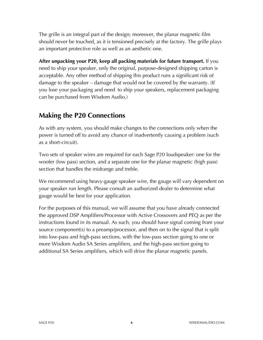The grille is an integral part of the design; moreover, the planar magnetic film should never be touched, as it is tensioned precisely at the factory. The grille plays an important protective role as well as an aesthetic one.

**After unpacking your P20, keep all packing materials for future transport.** If you need to ship your speaker, only the original, purpose-designed shipping carton is acceptable. Any other method of shipping this product runs a significant risk of damage to the speaker – damage that would not be covered by the warranty. (If you lose your packaging and need to ship your speakers, replacement packaging can be purchased from Wisdom Audio.)

### **Making the P20 Connections**

As with any system, you should make changes to the connections only when the power is turned off to avoid any chance of inadvertently causing a problem (such as a short-circuit).

Two sets of speaker wires are required for each Sage P20 loudspeaker: one for the woofer (low pass) section, and a separate one for the planar magnetic (high pass) section that handles the midrange and treble.

We recommend using heavy-gauge speaker wire, the gauge will vary dependent on your speaker run length. Please consult an authorized dealer to determine what gauge would be best for your application.

For the purposes of this manual, we will assume that you have already connected the approved DSP Amplifiers/Processor with Active Crossovers and PEQ as per the instructions found in its manual. As such, you should have signal coming from your source component(s) to a preamp/processor, and then on to the signal that is split into low-pass and high-pass sections, with the low-pass section going to one or more Wisdom Audio SA Series amplifiers, and the high-pass section going to additional SA Series amplifiers, which will drive the planar magnetic panels.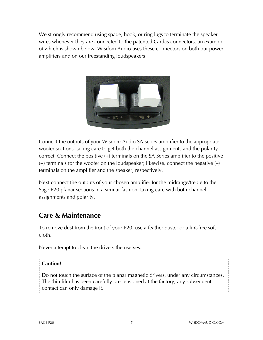We strongly recommend using spade, hook, or ring lugs to terminate the speaker wires whenever they are connected to the patented Cardas connectors, an example of which is shown below. Wisdom Audio uses these connectors on both our power amplifiers and on our freestanding loudspeakers



Connect the outputs of your Wisdom Audio SA-series amplifier to the appropriate woofer sections, taking care to get both the channel assignments and the polarity correct. Connect the positive (+) terminals on the SA Series amplifier to the positive  $(+)$  terminals for the woofer on the loudspeaker; likewise, connect the negative  $(-)$ terminals on the amplifier and the speaker, respectively.

Next connect the outputs of your chosen amplifier for the midrange/treble to the Sage P20 planar sections in a similar fashion, taking care with both channel assignments and polarity.

### **Care & Maintenance**

To remove dust from the front of your P20, use a feather duster or a lint-free soft cloth.

Never attempt to clean the drivers themselves.

### **Caution!**

Do not touch the surface of the planar magnetic drivers, under any circumstances. The thin film has been carefully pre-tensioned at the factory; any subsequent contact can only damage it. -------------------------------------

--------------------------------------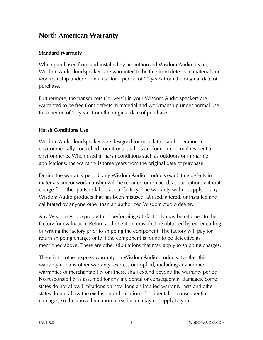### **North American Warranty**

### **Standard Warranty**

When purchased from and installed by an authorized Wisdom Audio dealer, Wisdom Audio loudspeakers are warranted to be free from defects in material and workmanship under normal use for a period of 10 years from the original date of purchase.

Furthermore, the transducers ("drivers") in your Wisdom Audio speakers are warranted to be free from defects in material and workmanship under normal use for a period of 10 years from the original date of purchase.

### **Harsh Conditions Use**

Wisdom Audio loudspeakers are designed for installation and operation in environmentally controlled conditions, such as are found in normal residential environments. When used in harsh conditions such as outdoors or in marine applications, the warranty is three years from the original date of purchase.

During the warranty period, any Wisdom Audio products exhibiting defects in materials and/or workmanship will be repaired or replaced, at our option, without charge for either parts or labor, at our factory. The warranty will not apply to any Wisdom Audio products that has been misused, abused, altered, or installed and calibrated by anyone other than an authorized Wisdom Audio dealer.

Any Wisdom Audio product not performing satisfactorily may be returned to the factory for evaluation. Return authorization must first be obtained by either calling or writing the factory prior to shipping the component. The factory will pay for return shipping charges only if the component is found to be defective as mentioned above. There are other stipulations that may apply to shipping charges.

There is no other express warranty on Wisdom Audio products. Neither this warranty nor any other warranty, express or implied, including any implied warranties of merchantability or fitness, shall extend beyond the warranty period. No responsibility is assumed for any incidental or consequential damages. Some states do not allow limitations on how long an implied warranty lasts and other states do not allow the exclusion or limitation of incidental or consequential damages, so the above limitation or exclusion may not apply to you.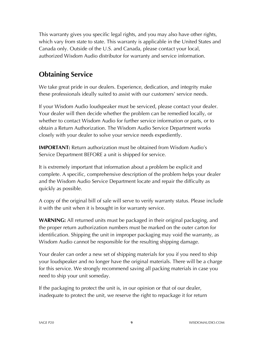This warranty gives you specific legal rights, and you may also have other rights, which vary from state to state. This warranty is applicable in the United States and Canada only. Outside of the U.S. and Canada, please contact your local, authorized Wisdom Audio distributor for warranty and service information.

# **Obtaining Service**

We take great pride in our dealers. Experience, dedication, and integrity make these professionals ideally suited to assist with our customers' service needs.

If your Wisdom Audio loudspeaker must be serviced, please contact your dealer. Your dealer will then decide whether the problem can be remedied locally, or whether to contact Wisdom Audio for further service information or parts, or to obtain a Return Authorization. The Wisdom Audio Service Department works closely with your dealer to solve your service needs expediently.

**IMPORTANT:** Return authorization must be obtained from Wisdom Audio's Service Department BEFORE a unit is shipped for service.

It is extremely important that information about a problem be explicit and complete. A specific, comprehensive description of the problem helps your dealer and the Wisdom Audio Service Department locate and repair the difficulty as quickly as possible.

A copy of the original bill of sale will serve to verify warranty status. Please include it with the unit when it is brought in for warranty service.

**WARNING:** All returned units must be packaged in their original packaging, and the proper return authorization numbers must be marked on the outer carton for identification. Shipping the unit in improper packaging may void the warranty, as Wisdom Audio cannot be responsible for the resulting shipping damage.

Your dealer can order a new set of shipping materials for you if you need to ship your loudspeaker and no longer have the original materials. There will be a charge for this service. We strongly recommend saving all packing materials in case you need to ship your unit someday.

If the packaging to protect the unit is, in our opinion or that of our dealer, inadequate to protect the unit, we reserve the right to repackage it for return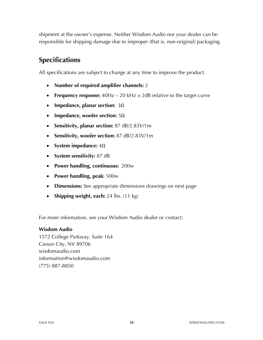shipment at the owner's expense. Neither Wisdom Audio nor your dealer can be responsible for shipping damage due to improper (that is, non-original) packaging.

# **Specifications**

All specifications are subject to change at any time to improve the product.

- **Number of required amplifier channels:** 2
- **Frequency response:** 40Hz 20 kHz  $\pm$  2dB relative to the target curve
- **Impedance, planar section:** 3Ω
- **Impedance, woofer section:** 5Ω
- **Sensitivity, planar section:** 87 dB/2.83V/1m
- **Sensitivity, woofer section:** 87 dB/2.83V/1m
- **System impedance:** 4Ω
- **System sensitivity:** 87 dB
- **Power handling, continuous:** 200w
- **Power handling, peak:** 500w
- **Dimensions:** See appropriate dimensions drawings on next page
- **Shipping weight, each:** 24 lbs. (11 kg)

For more information, see your Wisdom Audio dealer or contact:

#### **Wisdom Audio**

1572 College Parkway, Suite 164 Carson City, NV 89706 wisdomaudio.com information@wisdomaudio.com (775) 887-8850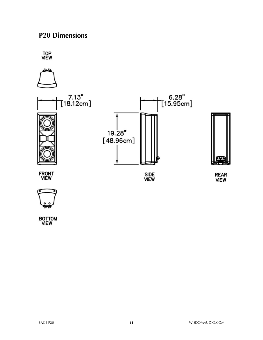# **P20 Dimensions**



BOTTOM<br>VIEW

**REAR VIEW**